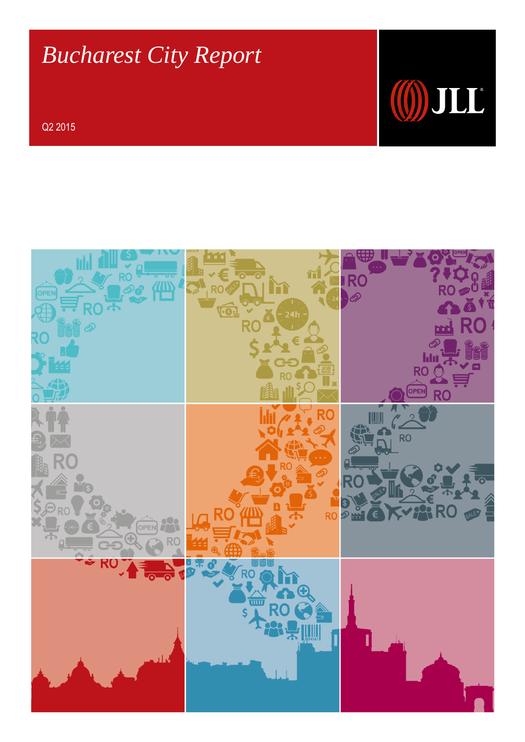# *Bucharest City Report*

Q2 2015



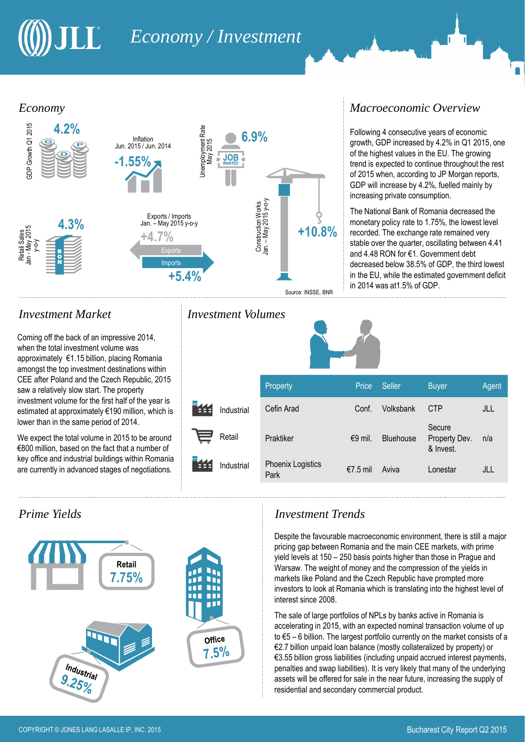## JLL *Economy / Investment*

#### *Economy*



Coming off the back of an impressive 2014, when the total investment volume was approximately €1.15 billion, placing Romania amongst the top investment destinations within CEE after Poland and the Czech Republic, 2015 saw a relatively slow start. The property investment volume for the first half of the year is estimated at approximately €190 million, which is lower than in the same period of 2014.

We expect the total volume in 2015 to be around €800 million, based on the fact that a number of key office and industrial buildings within Romania are currently in advanced stages of negotiations.



### *Investment Market Investment Volumes*

#### *Macroeconomic Overview*

Following 4 consecutive years of economic growth, GDP increased by 4.2% in Q1 2015, one of the highest values in the EU. The growing trend is expected to continue throughout the rest of 2015 when, according to JP Morgan reports, GDP will increase by 4.2%, fuelled mainly by increasing private consumption.

The National Bank of Romania decreased the monetary policy rate to 1.75%, the lowest level recorded. The exchange rate remained very stable over the quarter, oscillating between 4.41 and 4.48 RON for €1. Government debt decreased below 38.5% of GDP, the third lowest in the EU, while the estimated government deficit in 2014 was at1.5% of GDP.



|            | Property                  | Price     | Seller           | <b>Buyer</b>                         | Agent |
|------------|---------------------------|-----------|------------------|--------------------------------------|-------|
| Industrial | Cefin Arad                | Conf.     | Volksbank        | <b>CTP</b>                           | JLL   |
| Retail     | Praktiker                 | $€9$ mil. | <b>Bluehouse</b> | Secure<br>Property Dev.<br>& Invest. | n/a   |
| Industrial | Phoenix Logistics<br>Park | €7.5 mil  | Aviva            | Lonestar                             | JLL   |

## *Prime Yields Investment Trends*

Despite the favourable macroeconomic environment, there is still a major pricing gap between Romania and the main CEE markets, with prime yield levels at 150 – 250 basis points higher than those in Prague and Warsaw. The weight of money and the compression of the yields in markets like Poland and the Czech Republic have prompted more investors to look at Romania which is translating into the highest level of interest since 2008.

The sale of large portfolios of NPLs by banks active in Romania is accelerating in 2015, with an expected nominal transaction volume of up to €5 – 6 billion. The largest portfolio currently on the market consists of a €2.7 billion unpaid loan balance (mostly collateralized by property) or €3.55 billion gross liabilities (including unpaid accrued interest payments, penalties and swap liabilities). It is very likely that many of the underlying assets will be offered for sale in the near future, increasing the supply of residential and secondary commercial product.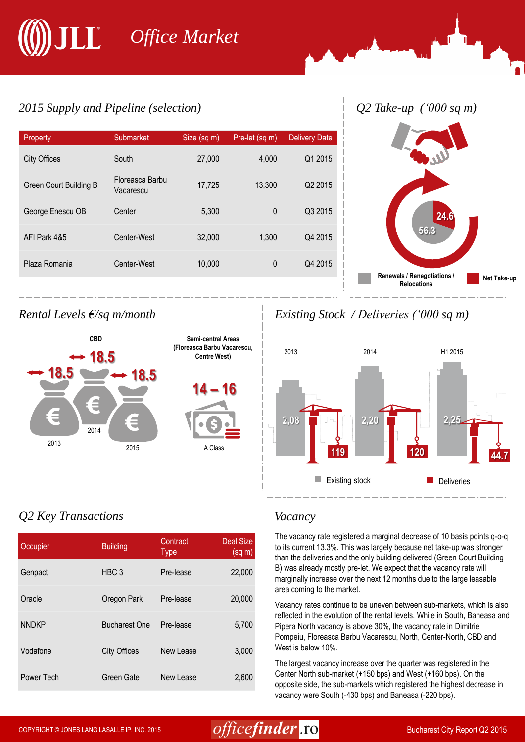# *Office Market*

## *2015 Supply and Pipeline (selection) Q2 Take-up ('000 sq m)*

| Property               | Submarket                    | Size (sq m) | Pre-let (sq m) | <b>Delivery Date</b> |
|------------------------|------------------------------|-------------|----------------|----------------------|
| <b>City Offices</b>    | South                        | 27,000      | 4,000          | Q1 2015              |
| Green Court Building B | Floreasca Barbu<br>Vacarescu | 17,725      | 13,300         | Q <sub>2</sub> 2015  |
| George Enescu OB       | Center                       | 5,300       | $\mathbf{0}$   | Q3 2015              |
| AFI Park 4&5           | Center-West                  | 32,000      | 1,300          | Q4 2015              |
| Plaza Romania          | Center-West                  | 10,000      | 0              | Q4 2015              |
|                        |                              |             |                |                      |





## *Rental Levels €/sq m/month Existing Stock / Deliveries ('000 sq m)*



## *Q2 Key Transactions Vacancy*

| Occupier     | <b>Building</b>      | Contract<br><b>Type</b> | <b>Deal Size</b><br>(sq m) |
|--------------|----------------------|-------------------------|----------------------------|
| Genpact      | HBC <sub>3</sub>     | Pre-lease               | 22,000                     |
| Oracle       | Oregon Park          | Pre-lease               | 20,000                     |
| <b>NNDKP</b> | <b>Bucharest One</b> | Pre-lease               | 5,700                      |
| Vodafone     | <b>City Offices</b>  | New Lease               | 3,000                      |
| Power Tech   | Green Gate           | New Lease               | 2,600                      |

The vacancy rate registered a marginal decrease of 10 basis points q-o-q to its current 13.3%. This was largely because net take-up was stronger than the deliveries and the only building delivered (Green Court Building B) was already mostly pre-let. We expect that the vacancy rate will marginally increase over the next 12 months due to the large leasable area coming to the market.

Vacancy rates continue to be uneven between sub-markets, which is also reflected in the evolution of the rental levels. While in South, Baneasa and Pipera North vacancy is above 30%, the vacancy rate in Dimitrie Pompeiu, Floreasca Barbu Vacarescu, North, Center-North, CBD and West is below 10%.

The largest vacancy increase over the quarter was registered in the Center North sub-market (+150 bps) and West (+160 bps). On the opposite side, the sub-markets which registered the highest decrease in vacancy were South (-430 bps) and Baneasa (-220 bps).

## COPYRIGHT © JONES LANG LASALLE IP, INC. 2015  $office**finder**$ . TO Bucharest City Report Q2 2015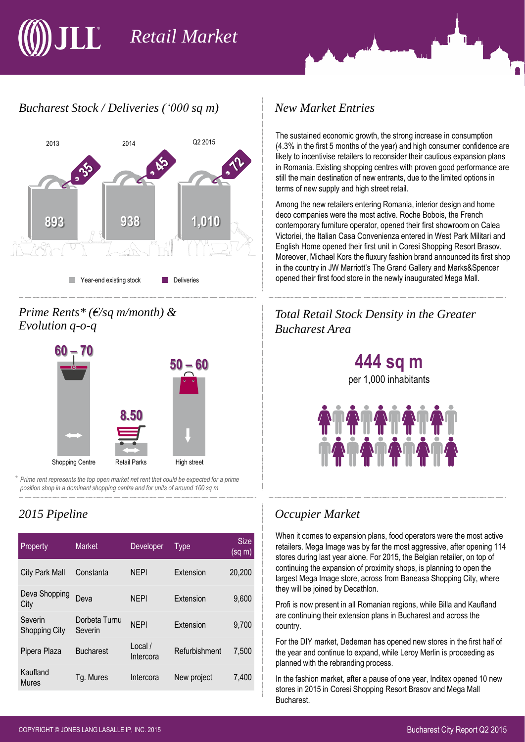# *Retail Market*

## *Bucharest Stock / Deliveries ('000 sq m) New Market Entries*



#### *Prime Rents\* (€/sq m/month) & Evolution q-o-q*



\* *Prime rent represents the top open market net rent that could be expected for a prime position shop in a dominant shopping centre and for units of around 100 sq m*

| Property                        | <b>Market</b>            | Developer            | Type          | Size<br>(sq m) |
|---------------------------------|--------------------------|----------------------|---------------|----------------|
| <b>City Park Mall</b>           | Constanta                | <b>NEPI</b>          | Extension     | 20,200         |
| Deva Shopping<br>City           | Deva                     | <b>NEPI</b>          | Extension     | 9,600          |
| Severin<br><b>Shopping City</b> | Dorbeta Turnu<br>Severin | <b>NEPI</b>          | Extension     | 9,700          |
| Pipera Plaza                    | <b>Bucharest</b>         | Local /<br>Intercora | Refurbishment | 7,500          |
| Kaufland<br><b>Mures</b>        | Tg. Mures                | Intercora            | New project   | 7,400          |

The sustained economic growth, the strong increase in consumption (4.3% in the first 5 months of the year) and high consumer confidence are likely to incentivise retailers to reconsider their cautious expansion plans in Romania. Existing shopping centres with proven good performance are still the main destination of new entrants, due to the limited options in terms of new supply and high street retail.

Among the new retailers entering Romania, interior design and home deco companies were the most active. Roche Bobois, the French contemporary furniture operator, opened their first showroom on Calea Victoriei, the Italian Casa Convenienza entered in West Park Militari and English Home opened their first unit in Coresi Shopping Resort Brasov. Moreover, Michael Kors the fluxury fashion brand announced its first shop in the country in JW Marriott's The Grand Gallery and Marks&Spencer opened their first food store in the newly inaugurated Mega Mall.

## *Total Retail Stock Density in the Greater Bucharest Area*

**444 sq m** per 1,000 inhabitants

## *2015 Pipeline Occupier Market*

When it comes to expansion plans, food operators were the most active retailers. Mega Image was by far the most aggressive, after opening 114 stores during last year alone. For 2015, the Belgian retailer, on top of continuing the expansion of proximity shops, is planning to open the largest Mega Image store, across from Baneasa Shopping City, where they will be joined by Decathlon.

Profi is now present in all Romanian regions, while Billa and Kaufland are continuing their extension plans in Bucharest and across the country.

For the DIY market, Dedeman has opened new stores in the first half of the year and continue to expand, while Leroy Merlin is proceeding as planned with the rebranding process.

In the fashion market, after a pause of one year, Inditex opened 10 new stores in 2015 in Coresi Shopping Resort Brasov and Mega Mall Bucharest.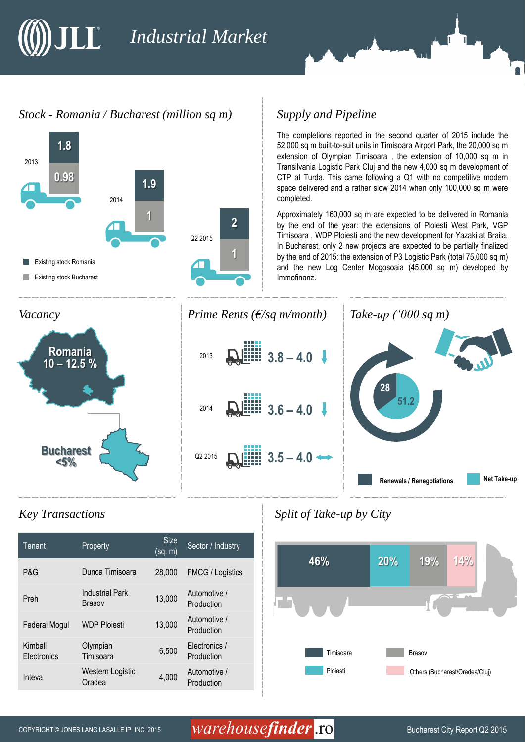## $\prod_{i=1}^{n}$ *Industrial Market*

#### *Stock - Romania / Bucharest (million sq m)*



#### *Supply and Pipeline*

The completions reported in the second quarter of 2015 include the 52,000 sq m built-to-suit units in Timisoara Airport Park, the 20,000 sq m extension of Olympian Timisoara , the extension of 10,000 sq m in Transilvania Logistic Park Cluj and the new 4,000 sq m development of CTP at Turda. This came following a Q1 with no competitive modern space delivered and a rather slow 2014 when only 100,000 sq m were completed.

Approximately 160,000 sq m are expected to be delivered in Romania by the end of the year: the extensions of Ploiesti West Park, VGP Timisoara , WDP Ploiesti and the new development for Yazaki at Braila. In Bucharest, only 2 new projects are expected to be partially finalized by the end of 2015: the extension of P3 Logistic Park (total 75,000 sq m) and the new Log Center Mogosoaia (45,000 sq m) developed by Immofinanz.



#### *Key Transactions*

| Tenant                 | Property                                | <b>Size</b><br>(sq. m) | Sector / Industry           |
|------------------------|-----------------------------------------|------------------------|-----------------------------|
| P&G                    | Dunca Timisoara                         | 28,000                 | <b>FMCG / Logistics</b>     |
| Preh                   | <b>Industrial Park</b><br><b>Brasov</b> | 13,000                 | Automotive /<br>Production  |
| <b>Federal Mogul</b>   | <b>WDP Ploiesti</b>                     | 13,000                 | Automotive /<br>Production  |
| Kimball<br>Electronics | Olympian<br>Timisoara                   | 6,500                  | Electronics /<br>Production |
| Inteva                 | Western Logistic<br>Oradea              | 4,000                  | Automotive /<br>Production  |

*Split of Take-up by City* 



## COPYRIGHT © JONES LANG LASALLE IP, INC. 2015  $\emph{warehouse}$  , to bucharest City Report Q2 2015